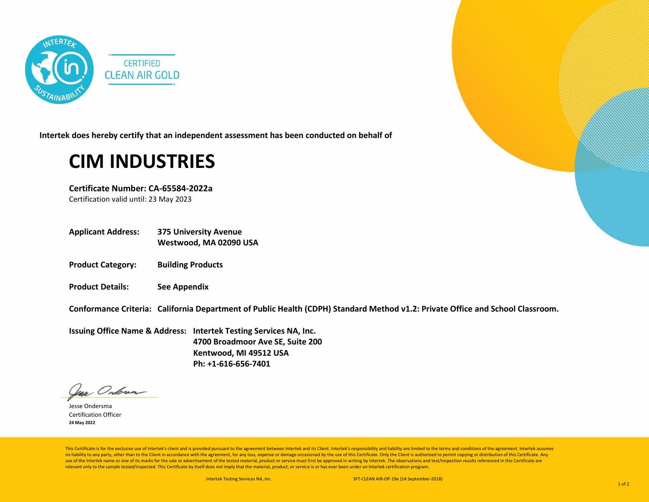

**Intertek does hereby certify that an independent assessment has been conducted on behalf of**

## **CIM INDUSTRIES**

**Certificate Number: CA-65584-2022a** Certification valid until: 23 May 2023

- **Applicant Address: 375 University Avenue Westwood, MA 02090 USA**
- **Product Category: Building Products**
- **Product Details: See Appendix**

**Conformance Criteria: California Department of Public Health (CDPH) Standard Method v1.2: Private Office and School Classroom.**

**Issuing Office Name & Address: Intertek Testing Services NA, Inc. 4700 Broadmoor Ave SE, Suite 200 Kentwood, MI 49512 USA Ph: +1-616-656-7401**

Jean Onderna

Jesse Ondersma Certification Officer **24 May 2022**

This Certificate is for the exclusive use of Intertek's client and is provided pursuant to the agreement between Intertek and its Client. Intertek's responsibility and liability are limited to the terms and conditions of t no liability to any party, other than to the Client in accordance with the agreement, for any loss, expense or damage occasioned by the use of this Certificate. Only the Client is authorized to permit copying or distributi use of the Intertek name or one of its marks for the sale or advertisement of the tested material, product or service must first be approved in writing by Intertek. The observations and test/inspection results referenced i relevant only to the sample tested/inspected. This Certificate by itself does not imply that the material, product, or service is or has ever been under an Intertek certification program.